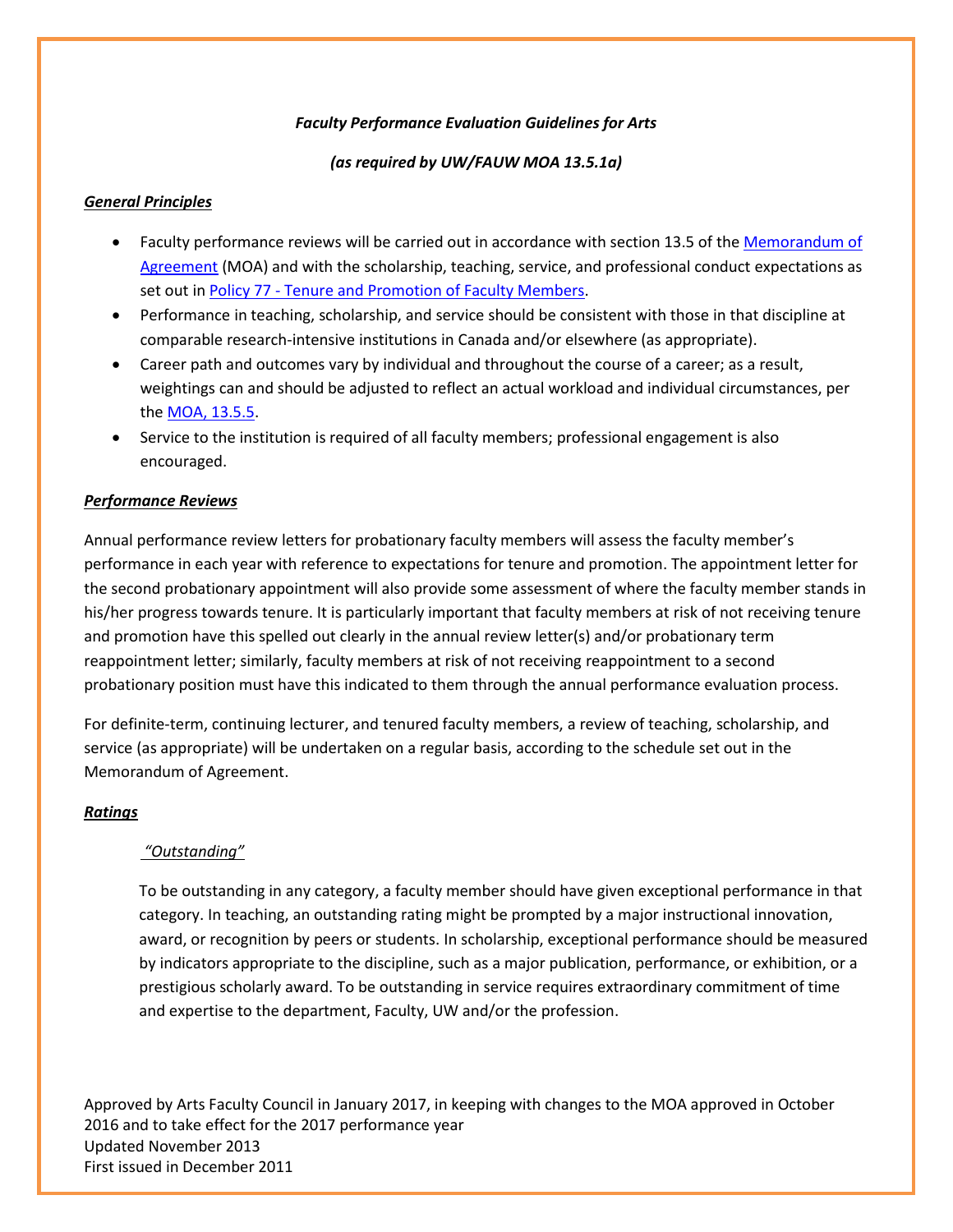## *Faculty Performance Evaluation Guidelines for Arts*

## *(as required by UW/FAUW MOA 13.5.1a)*

### *General Principles*

- Faculty performance reviews will be carried out in accordance with section 13.5 of th[e Memorandum of](http://secretariat.uwaterloo.ca/OfficialDocuments/MoA.htm)  [Agreement](http://secretariat.uwaterloo.ca/OfficialDocuments/MoA.htm) (MOA) and with the scholarship, teaching, service, and professional conduct expectations as set out in Policy 77 - [Tenure and Promotion](http://www.secretariat.uwaterloo.ca/Policies/policy77.htm) of Faculty Members.
- Performance in teaching, scholarship, and service should be consistent with those in that discipline at comparable research-intensive institutions in Canada and/or elsewhere (as appropriate).
- Career path and outcomes vary by individual and throughout the course of a career; as a result, weightings can and should be adjusted to reflect an actual workload and individual circumstances, per th[e MOA, 13.5.5.](http://secretariat.uwaterloo.ca/OfficialDocuments/MoA.htm#facultysalaries)
- Service to the institution is required of all faculty members; professional engagement is also encouraged.

## *Performance Reviews*

Annual performance review letters for probationary faculty members will assess the faculty member's performance in each year with reference to expectations for tenure and promotion. The appointment letter for the second probationary appointment will also provide some assessment of where the faculty member stands in his/her progress towards tenure. It is particularly important that faculty members at risk of not receiving tenure and promotion have this spelled out clearly in the annual review letter(s) and/or probationary term reappointment letter; similarly, faculty members at risk of not receiving reappointment to a second probationary position must have this indicated to them through the annual performance evaluation process.

For definite-term, continuing lecturer, and tenured faculty members, a review of teaching, scholarship, and service (as appropriate) will be undertaken on a regular basis, according to the schedule set out in the Memorandum of Agreement.

#### *Ratings*

#### *"Outstanding"*

To be outstanding in any category, a faculty member should have given exceptional performance in that category. In teaching, an outstanding rating might be prompted by a major instructional innovation, award, or recognition by peers or students. In scholarship, exceptional performance should be measured by indicators appropriate to the discipline, such as a major publication, performance, or exhibition, or a prestigious scholarly award. To be outstanding in service requires extraordinary commitment of time and expertise to the department, Faculty, UW and/or the profession.

Approved by Arts Faculty Council in January 2017, in keeping with changes to the MOA approved in October 2016 and to take effect for the 2017 performance year Updated November 2013 First issued in December 2011